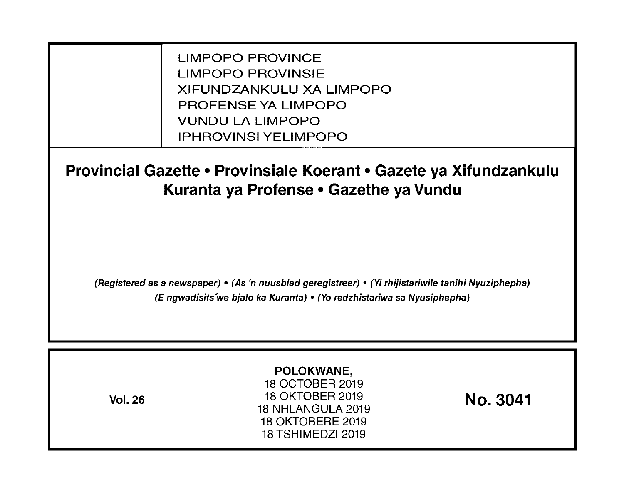LIMPOPO PROVINCE LIMPOPO PROVINSIE XIFUNDZANKULU XA LIMPOPO PROFENSE YA LIMPOPO VUNDU LA LIMPOPO IPHROVINSI YELIMPOPO

**Provincial Gazette • Provinsiale Koerant • Gazete ya Xifundzankulu Kuranta ya Profense • Gazethe ya Vundu** 

(Registered as a newspaper) • (As 'n nuusblad geregistreer) • (Yi rhijistariwile tanihi Nyuziphepha) (E ngwadisits we bjalo ka Kuranta) • (Yo redzhistariwa sa Nyusiphepha)

| POLOKWANE,<br>18 OCTOBER 2019<br>18 OKTOBER 2019<br><b>Vol. 26</b><br>18 NHLANGULA 2019<br>18 OKTOBERE 2019<br>18 TSHIMEDZI 2019 | <b>No. 3041</b> |
|----------------------------------------------------------------------------------------------------------------------------------|-----------------|
|----------------------------------------------------------------------------------------------------------------------------------|-----------------|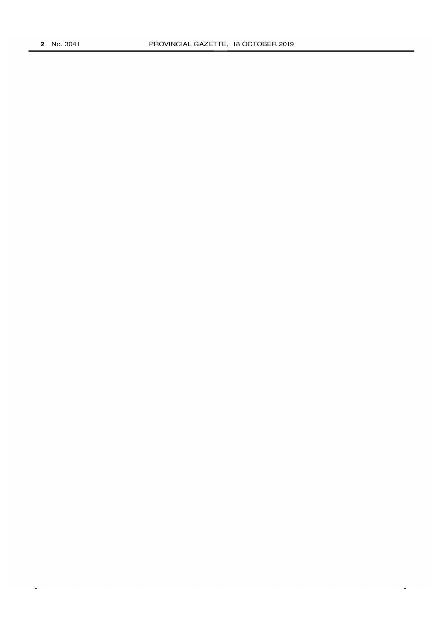$\Box$ 

 $\tilde{\phantom{a}}$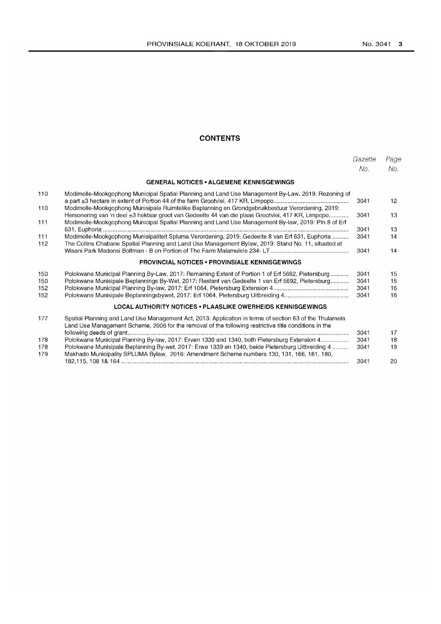# **CONTENTS**

|            |                                                                                                                                                                                                                  | Gazette<br>No. | Page<br>No. |
|------------|------------------------------------------------------------------------------------------------------------------------------------------------------------------------------------------------------------------|----------------|-------------|
|            | <b>GENERAL NOTICES • ALGEMENE KENNISGEWINGS</b>                                                                                                                                                                  |                |             |
| 110        | Modimolle-Mookgophong Municipal Spatial Planning and Land Use Management By-Law, 2019: Rezoning of                                                                                                               | 3041           | 12          |
| 110        | Modimolle-Mookgophong Munisipale Ruimtelike Beplanning en Grondgebruikbestuur Verordening, 2019:                                                                                                                 |                |             |
| 111        | Hersonering van 'n deel ±3 hektaar groot van Gedeelte 44 van die plaas Grootvlei, 417 KR, Limpopo<br>Modimolle-Mookgophong Municipal Spatial Planning and Land Use Management By-law, 2019: Ptn 8 of Erf         | 3041           | 13          |
|            |                                                                                                                                                                                                                  | 3041           | 13          |
| 111<br>112 | Modimolle-Mookgophong Munisipaliteit Spluma Verordening, 2019: Gedeelte 8 van Erf 631, Euphoria<br>The Collins Chabane Spatial Planning and Land Use Management Bylaw, 2019: Stand No. 11, situated at           | 3041           | 14          |
|            |                                                                                                                                                                                                                  | 3041           | 14          |
|            | <b>PROVINCIAL NOTICES • PROVINSIALE KENNISGEWINGS</b>                                                                                                                                                            |                |             |
| 150        | Polokwane Municipal Planning By-Law, 2017: Remaining Extent of Portion 1 of Erf 5692, Pietersburg                                                                                                                | 3041           | 15          |
| 150        | Polokwane Munisipale Beplannings By-Wet, 2017: Restant van Gedeelte 1 van Erf 5692, Pietersburg                                                                                                                  | 3041           | 15          |
| 152        |                                                                                                                                                                                                                  | 3041           | 16          |
| 152        |                                                                                                                                                                                                                  | 3041           | 16          |
|            | <b>LOCAL AUTHORITY NOTICES • PLAASLIKE OWERHEIDS KENNISGEWINGS</b>                                                                                                                                               |                |             |
| 177        | Spatial Planning and Land Use Management Act, 2013: Application in terms of section 63 of the Thulamela<br>Land Use Management Scheme, 2006 for the removal of the following restrictive title conditions in the |                |             |
| 178        | Polokwane Municipal Planning By-law, 2017: Erven 1339 and 1340, both Pietersburg Extension 4                                                                                                                     | 3041<br>3041   | 17<br>18    |
| 178        | Polokwane Munisipale Beplanning By-wet, 2017: Erwe 1339 en 1340, beide Pietersburg Uitbreiding 4                                                                                                                 | 3041           | 19          |
| 179        | Makhado Municipality SPLUMA Bylaw, 2016: Amendment Scheme numbers 130, 131, 166, 181, 180,                                                                                                                       |                |             |
|            |                                                                                                                                                                                                                  | 3041           | 20          |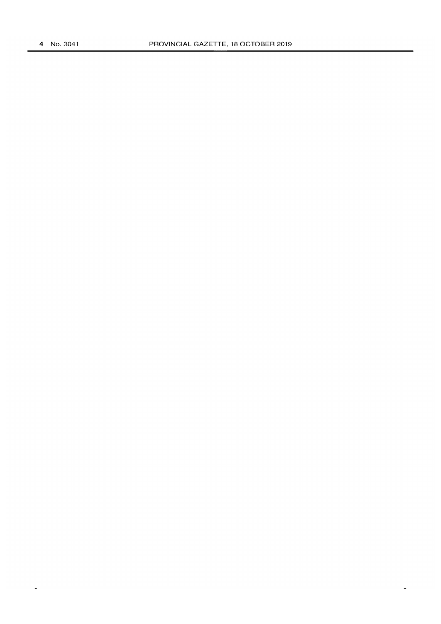$\Box$ 

 $\tilde{\phantom{a}}$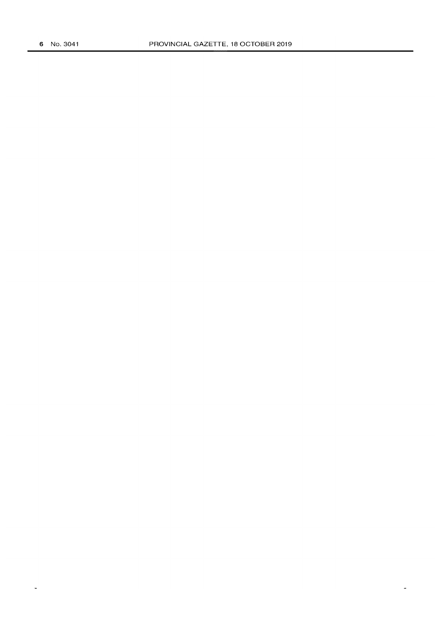$\Box$ 

 $\tilde{\phantom{a}}$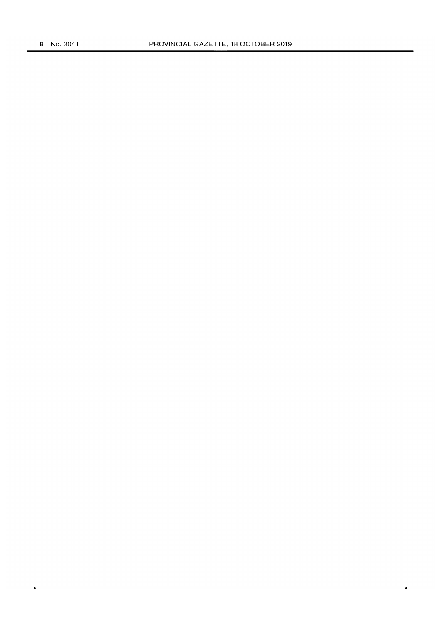$\hat{\textbf{z}}$ 

 $\bar{\phantom{a}}$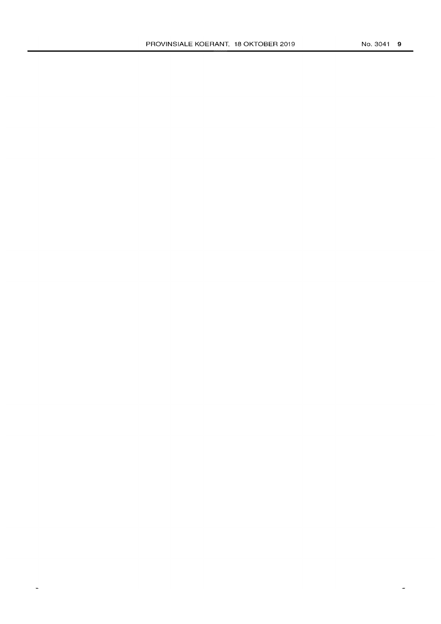$\overline{a}$ 

 $\overline{a}$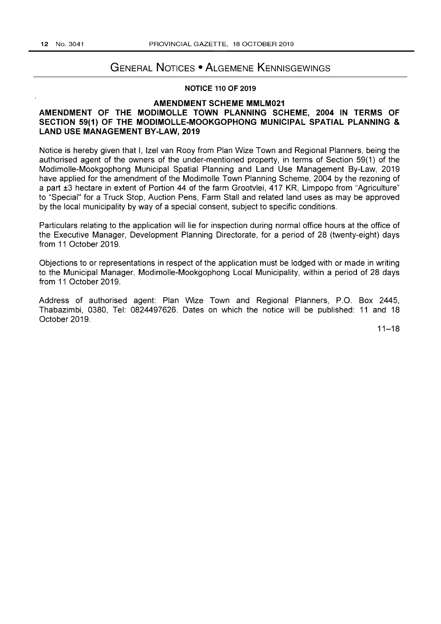# GENERAL NOTICES • ALGEMENE KENNISGEWINGS

## **NOTICE** 110 **OF** 2019

#### **AMENDMENT SCHEME MMLM021**

# **AMENDMENT OF THE MODIMOLLE TOWN PLANNING SCHEME, 2004 IN TERMS OF SECTION 59(1) OF THE MODIMOLLE-MOOKGOPHONG MUNICIPAL SPATIAL PLANNING & LAND USE MANAGEMENT BY-LAW, 2019**

Notice is hereby given that I, Izel van Rooy from Plan Wize Town and Regional Planners, being the authorised agent of the owners of the under-mentioned property, in terms of Section 59(1) of the Modimolle-Mookgophong Municipal Spatial Planning and Land Use Management By-Law, 2019 have applied for the amendment of the Modimolle Town Planning Scheme, 2004 by the rezoning of a part ±3 hectare in extent of Portion 44 of the farm Grootvlei, 417 KR, Limpopo from "Agriculture" to "Special" for a Truck Stop, Auction Pens, Farm Stall and related land uses as may be approved by the local municipality by way of a special consent, subject to specific conditions.

Particulars relating to the application will lie for inspection during normal office hours at the office of the Executive Manager, Development Planning Directorate, for a period of 28 (twenty-eight) days from 11 October 2019.

Objections to or representations in respect of the application must be lodged with or made in writing to the Municipal Manager, Modimolle-Mookgophong Local Municipality, within a period of 28 days from 11 October 2019.

Address of authorised agent: Plan Wize Town and Regional Planners, P.O. Box 2445, Thabazimbi, 0380, Tel: 0824497626. Dates on which the notice will be published: 11 and 18 October 2019.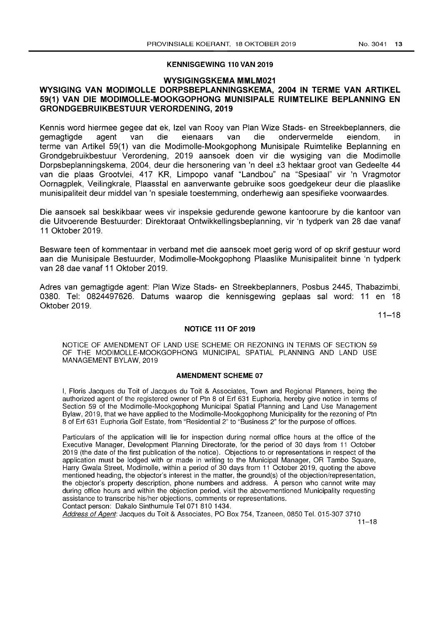#### **KENNISGEWING 110 VAN 2019**

### **WYSIGINGSKEMA MMLM021**

# **WYSIGING VAN MODIMOLLE DORPSBEPLANNINGSKEMA, 2004 IN TERME VAN ARTIKEL 59(1) VAN DIE MODIMOLLE-MOOKGOPHONG MUNISIPALE RUIMTELIKE BEPLANNING EN GRONDGEBRUIKBESTUUR VERORDENING, 2019**

Kennis word hiermee gegee dat ek, Izel van Rooy van Plan Wize Stads- en Streekbeplanners, die gemagtigde agent van die eienaars van die ondervermelde eiendom, in terme van Artikel 59(1) van die Modimolle-Mookgophong Munisipale Ruimtelike Beplanning en Grondgebruikbestuur Verordening, 2019 aansoek doen vir die wysiging van die Modimolle Dorpsbeplanningskema, 2004, deur die hersonering van 'n deel ±3 hektaar groot van Gedeelte 44 van die plaas Grootvlei, 417 KR, Limpopo vanaf "Landbou" na "Spesiaal" vir 'n Vragmotor Oornagplek, Veilingkrale, Plaasstal en aanverwante gebruike 5005 goedgekeur deur die plaaslike munisipaliteit deur middel van In spesiale toestemming, onderhewig aan spesifieke voorwaardes.

Die aansoek sal beskikbaar wees vir inspeksie gedurende gewone kantoorure by die kantoor van die Uitvoerende Bestuurder: Direktoraat Ontwikkellingsbeplanning, vir 'n tydperk van 28 dae vanaf 11 Oktober 2019.

Besware teen of kommentaar in verband met die aansoek moet gerig word of op skrif gestuur word aan die Munisipale Bestuurder, Modimolle-Mookgophong Plaaslike Munisipaliteit binne 'n tydperk van 28 dae vanaf 11 Oktober 2019.

Adres van gemagtigde agent: Plan Wize Stads- en Streekbeplanners, Posbus 2445, Thabazimbi, 0380. Tel: 0824497626. Datums waarop die kennisgewing geplaas sal word: 11 en 18 Oktober 2019.

 $11 - 18$ 

#### **NOTICE 111 OF 2019**

NOTICE OF AMENDMENT OF LAND USE SCHEME OR REZONING IN TERMS OF SECTION 59 OF THE MODIMOLLE-MOOKGOPHONG MUNICIPAL SPATIAL PLANNING AND LAND USE MANAGEMENT BYLAW, 2019

#### AMENDMENT SCHEME 07

I, Floris Jacques du Toit of Jacques du Toit & Associates, Town and Regional Planners, being the authorized agent of the registered owner of Ptn 8 of Erf 631 Euphoria, hereby give notice in terms of Section 59 of the Modimolle-Mookgophong Municipal Spatial Planning and Land Use Management Bylaw, 2019, that we have applied to the Modimolle-Mookgophong Municipality for the rezoning of Ptn 8 of Erf 631 Euphoria Golf Estate, from "Residential 2" to "Business 2" for the purpose of offices.

Particulars of the application will lie for inspection during normal office hours at the office of the Executive Manager, Development Planning Directorate, for the period of 30 days from 11 October 2019 (the date of the first publication of the notice). Objections to or representations in respect of the application must be lodged with or made in writing to the Municipal Manager, OR Tambo Square, Harry Gwala Street, Modimolle, within a period of 30 days from 11 October 2019, quoting the above mentioned heading, the objector's interest in the matter, the ground(s) of the objection/representation, the objector's property description, phone numbers and address. A person who cannot write may during office hours and within the objection period, visit the abovementioned Municipality requesting assistance to transcribe his/her objections, comments or representations.

Contact person: Dakalo Sinthumule Tel 071 810 1434. Address of Agent: Jacques du Toit & Associates, PO Box 754, Tzaneen, 0850 Tel. 015-307 3710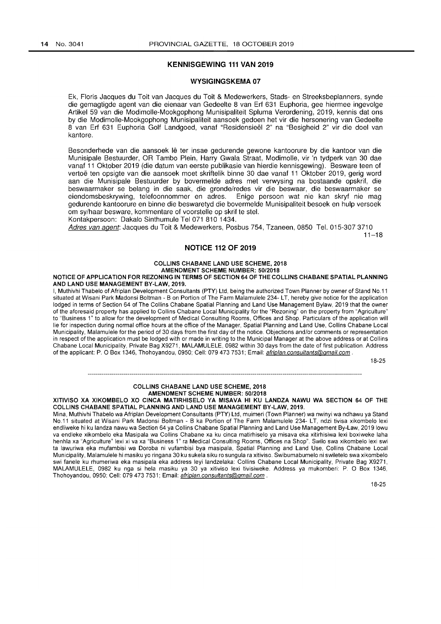#### KENNISGEWING 111 VAN 2019

#### WYSIGINGSKEMA 07

Ek, Floris Jacques du Toit van Jacques du Toit & Medewerkers, Stads- en Streeksbeplanners, synde die gemagtigde agent van die eienaar van Gedeelte 8 van Erf 631 Euphoria, gee hiermee ingevolge Artikel 59 van die Modimolle-Mookgophong Munisipaliteit Spluma Verordening, 2019, kennis dat ons by die Modimolle-Mookgophong Munisipaliteit aansoek gedoen het vir die hersonering van Gedeelte 8 van Erf 631 Euphoria Golf Landgoed, vanaf "Residensieel 2" na "Besigheid 2" vir die doel van kantore.

Besonderhede van die aansoek lê ter insae gedurende gewone kantoorure by die kantoor van die Munisipale Bestuurder, OR Tambo Plein, Harry Gwala Straat, Modimolle, vir 'n tydperk van 30 dae vanaf 11 Oktober 2019 (die datum van eerste publikasie van hierdie kennisgewing). Besware teen of vertoë ten opsigte van die aansoek moet skriftelik binne 30 dae vanaf 11 Oktober 2019, gerig word aan die Munisipale Bestuurder by bovermelde adres met verwysing na bostaande opskrif, die beswaarmaker se belang in die saak, die gronde/redes vir die beswaar, die beswaarmaker se eiendomsbeskrywing, telefoonnommer en adres. gedurende kantoorure en binne die beswaretyd die bovermelde Munisipaliteit besoek en hulp versoek om sy/haar besware, kommentare of voorstelle op skrif te stel.

Kontakpersoon: Oakalo Sinthumule Tel 071 810 1434.

Adres van agent: Jacques du Toit & Medewerkers, Posbus 754, Tzaneen, 0850 Tel. 015-3073710  $11 - 18$ 

### NOTICE 112 OF 2019

#### COLLINS CHABANE LAND USE SCHEME, 2018 AMENDMENT SCHEME NUMBER: 50/2018

NOTICE OF APPLICATION FOR REZONING IN TERMS OF SECTION 64 OF THE COLLINS CHABANE SPATIAL PLANNING AND LAND USE MANAGEMENT BY-LAW, 2019.

I, Muthivhi Thabelo of Afriplan Development Consultants (PTY) Ltd, being the authorized Town Planner by owner of Stand No.11 situated at Wisani Park Madonsi Boltman - B on Portion of The Farm Malamulele 234- LT, hereby give notice for the application lodged in terms of Section 64 of The Collins Chabane Spatial Planning and Land Use Management Bylaw, 2019 that the owner of the aforesaid property has applied to Collins Chabane Local Municipality for the "Rezoning" on the property from "Agriculture" to "Business 1" to allow for the development of Medical Consulting Rooms, Offices and Shop. Particulars of the application will lie for inspection during normal office hours at the office of the Manager, Spatial Planning and Land Use, Collins Chabane Local Municipality, Malamulele for the period of 30 days from the first day of the notice. Objections and/or comments or representation in respect of the application must be lodged with or made in writing to the Municipal Manager at the above address or at Collins Chabane Local Municipality, Private Bag X9271 , MALAMULELE, 0982 within 30 days from the date of first publication. Address of the applicant: P. O Box 1346, Thohoyandou, 0950; Cell: 079 473 7531; Email: afriplan.consultants@gmail.com .

18-25

#### COLLINS CHABANE LAND USE SCHEME, 2018 AMENDMENT SCHEME NUMBER: 50/2018

XITIVISO XA XIKOMBELO XO CINCA MATIRHISELO YA MISAVA HI KU LANDZA NAWU WA SECTION 64 OF THE COLLINS CHABANE SPATIAL PLANNING AND LAND USE MANAGEMENT BY-LAW, 2019.

Mina, Muthivhi Thabelo wa Afriplan Development Consultants (PTY) Ltd, muimeri (Town Planner) wa nwinyi wa ndhawu ya Stand No.11 situated at Wisani Park Madonsi Boltman - B ka Portion of The Farm Malamulele 234- LT, ndzi tivisa xikombelo lexi endliweke hi ku landza nawu wa Section 64 ya Collins Chabane Spatial Planning and Land Use Management By-Law, 2019 lowu va endleke xikombelo eka Masipala wa Collins Chabane xa ku cinca matirhiselo ya misava eka xitirhisiwa lexi boxiweke laha henhla xa "Agriculture" lexi xi va xa "Business 1" ra Medical Consulting Rooms, Offices na Shop". Swilo swa xikombelo lexi swi ta lawuriwa eka mufambisi wa Doroba ni vufambisi bya masipala, Spatial Planning and Land Use, Collins Chabane Local Municipality, Malamulele hi masiku yo ringana 30 ku sukela siku ro sungula ra xitiviso. Swibumabumelo ni swiletelo swa xikombelo swi fanele ku rhumeriwa eka masipala eka address leyi landzelaka: Collins Chabane Local Municipality, Private Bag X9271, MALAMULELE, 0982 ku nga si hela masiku ya 30 ya xitiviso lexi tivisiweke. Address ya mukomberi: P. 0 Box 1346, Thohoyandou, 0950; Cell: 079 473 7531; Email: *afriplan.consultants@gmail.com* .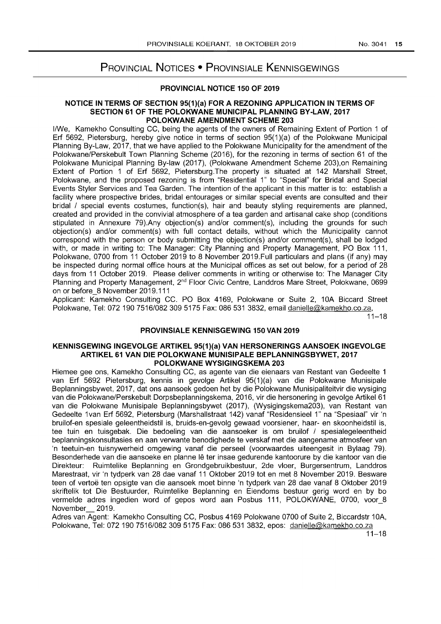# PROVINCIAL NOTICES • PROVINSIALE KENNISGEWINGS

## PROVINCIAL NOTICE 150 OF 2019

#### NOTICE IN TERMS OF SECTION 95(1)(a) FOR A REZONING APPLICATION IN TERMS OF SECTION 61 OF THE POLOKWANE MUNICIPAL PLANNING BY-LAW, 2017 POLOKWANE AMENDMENT SCHEME 203

l!We, Kamekho Consulting CC, being the agents of the owners of Remaining Extent of Portion 1 of Erf 5692. Pietersburg, hereby give notice in terms of section 95(1)(a) of the Polokwane Municipal Planning By-Law, 2017, that we have applied to the Polokwane Municipality for the amendment of the Polokwane/Perskebult Town Planning Scheme (2016), for the rezoning in terms of section 61 of the Polokwane Municipal Planning By-law (2017), (Polokwane Amendment Scheme 203),on Remaining Extent of Portion 1 of Erf 5692, Pietersburg.The property is situated at 142 Marshall Street, Polokwane, and the proposed rezoning is from "Residential 1" to "Special" for Bridal and Special Events Styler Services and Tea Garden. The intention of the applicant in this matter is to: establish a facility where prospective brides, bridal entourages or similar special events are consulted and their bridal / special events costumes, function(s), hair and beauty styling requirements are planned, created and provided in the convivial atmosphere of a tea garden and artisanal cake shop (conditions stipulated in Annexure 79).Any objection(s) and/or comment(s), including the grounds for such objection(s) and/or comment(s) with full contact details, without which the Municipality cannot correspond with the person or body submitting the objection(s) and/or comment(s), shall be lodged with, or made in writing to: The Manager: City Planning and Property Management, PO Box 111, Polokwane, 0700 from 11 October 2019 to 8 November 2019.Full particulars and plans (if any) may be inspected during normal office hours at the Municipal offices as set out below, for a period of 28 days from 11 October 2019. Please deliver comments in writing or otherwise to: The Manager City Planning and Property Management, 2nd Floor Civic Centre, Landdros Mare Street, Polokwane, 0699 on or before 8 November 2019.111

Applicant: Kamekho Consulting CC. PO Box 4169, Polokwane or Suite 2, 10A Biccard Street Polokwane, Tel: 072 190 7516/082 309 5175 Fax: 086 531 3832, email danielle@kamekho.co.za,

 $11 - 18$ 

#### PROVINSIALE KENNISGEWING 150 VAN 2019

#### KENNISGEWING INGEVOLGE ARTIKEL 95(1)(a) VAN HERSONERINGS AANSOEK INGEVOLGE ARTIKEL 61 VAN DIE POLOKWANE MUNISIPALE BEPLANNINGSBYWET, 2017 POLOKWANE WYSIGINGSKEMA 203

Hiemee gee ons, Kamekho Consulting CC, as agente van die eienaars van Restant van Gedeelte 1 van Erf 5692 Pietersburg, kennis in gevolge Artikel 95(1)(a) van die Polokwane Munisipale Beplanningsbywet, 2017, dat ons aansoek gedoen het by die Polokwane Munisipaliteitvir die wysiging van die Polokwane/Perskebult Dorpsbeplanningskema, 2016, vir die hersonering in gevolge Artikel 61 van die Polokwane Munisipale Beplanningsbywet (2017), (Wysigingskema203), van Restant van Gedeelte 1van Erf 5692, Pietersburg (Marshallstraat 142) vanaf "Residensieel 1" na "Spesiaal" vir 'n bruilof-en spesiale geleentheidstil is, bruids-en-gevolg gewaad voorsiener, haar- en skoonheidstil is, tee tuin en tuisgebak. Die bedoeling van die aansoeker is om bruilof / spesialegeleentheid beplanningskonsultasies en aan verwante benodighede te verskaf met die aangename atmosfeer van 'n teetuin-en tuisnywerheid omgewing vanaf die perseel (voorwaardes uiteengesit in Bylaag 79). Besonderhede van die aansoeke en planne Ie ter insae gedurende kantoorure by die kantoor van die Direkteur: Ruimtelike Beplanning en Grondgebruikbestuur, 2de vloer, Burgersentrum, Landdros Marestraat, vir 'n tydperk van 28 dae vanaf 11 Oktober 2019 tot en met 8 November 2019. Besware teen of vertoë ten opsigte van die aansoek moet binne 'n tydperk van 28 dae vanaf 8 Oktober 2019 skriftelik tot Die Bestuurder, Ruimtelike Beplanning en Eiendoms bestuur gerig word en by bo vermelde adres ingedien word of gepos word aan Posbus 111, POLOKWANE, 0700, voor\_8 November 2019.

Adres van Agent: Kamekho Consulting CC, Posbus 4169 Polokwane 0700 of Suite 2, Biccardstr 10A, Polokwane, Tel: 072 190 7516/082 309 5175 Fax: 086 531 3832, epos: danielle@kamekho.co.za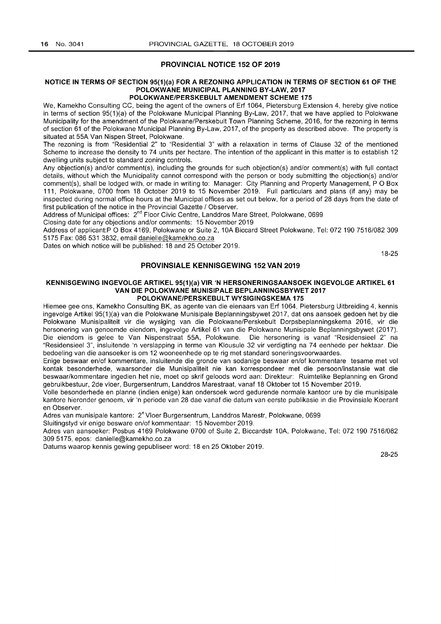#### **PROVINCIAL NOTICE 152 OF 2019**

# **NOTICE IN TERMS OF SECTION 95(1)(a) FOR A REZONING APPLICATION IN TERMS OF SECTION 61 OF THE POLOKWANE MUNICIPAL PLANNING BY-LAW, 2017**

**POLOKWANE/PERSKEBULT AMENDMENT SCHEME 175** 

We, Kamekho Consulting CC, being the agent of the owners of Erf 1064, Pietersburg Extension 4, hereby give notice in terms of section 95(1)(a) of the Polokwane Municipal Planning By-Law, 2017, that we have applied to Polokwane Municipality for the amendment of the Polokwane/Perskebult Town Planning Scheme, 2016, for the rezoning in terms of section 61 of the Polokwane Municipal Planning By-Law, 2017, of the property as described above. The property is situated at 55A Van Nispen Street, Polokwane.

The rezoning is from "Residential 2" to "Residential 3" with a relaxation in terms of Clause 32 of the mentioned Scheme to increase the density to 74 units per hectare. The intention of the applicant in this matter is to establish 12 dwelling units subject to standard zoning controls.

Any objection(s) and/or comment(s), including the grounds for such objection(s) and/or comment(s) with full contact details, without which the Municipality cannot correspond with the person or body submitting the objection(s) and/or comment(s), shall be lodged with, or made in writing to: Manager: City Planning and Property Management, P O Box 111, Polokwane, 0700 from 18 October 2019 to 15 November 2019. Full particulars and plans (if any) may be inspected during normal office hours at the Municipal offices as set out below, for a period of 28 days from the date of first publication of the notice in the Provincial Gazette / Observer.

Address of Municipal offices:  $2^{nd}$  Floor Civic Centre, Landdros Mare Street, Polokwane, 0699

Closing date for any objections and/or comments: 15 November 2019

Address of applicant:P O Box 4169, Polokwane or Suite 2, 10A Biccard Street Polokwane, Tel: 072 190 7516/082 309 5175 Fax: 086 531 3832, email danielle@kamekho.co.za

Dates on which notice will be published: 18 and 25 October 2019.

18-25

## **PROVINSIALE KENNISGEWING 152 VAN 2019**

# **KENNISGEWING INGEVOLGE ARTIKEL 95(1)(a) VIR 'N HERSONERINGSAANSOEK INGEVOLGE ARTIKEL 61 VAN DIE POLOKWANE MUNISIPALE BEPLANNINGSBYWET 2017**

#### **POLOKWANE/PERSKEBULT WYSIGINGSKEMA 175**

Hiemee gee ons, Kamekho Consulting BK, as agente van die eienaars van Erf 1064, Pietersburg Uitbreiding 4, kennis ingevolge Artikel 95(1)(a) van die Polokwane Munisipale Beplanningsbywet 2017, dat ons aansoek gedoen het by die Polokwane Munisipaliteit vir die wysiging van die Polokwane/Perskebult Dorpsbeplanningskema 2016, vir die hersonering van genoemde eiendom, ingevolge Artikel 61 van die Polokwane Munisipale Beplanningsbywet (2017). Die eiendom is gelee te Van Nispenstraat 55A, Polokwane. Die hersonering is vanaf "Residensieel 2" na "Residensieel 3", insluitende 'n verslapping in terme van Klousule 32 vir verdigting na 74 eenhede per hektaar. Die bedoeling van die aansoeker is om 12 wooneenhede op te rig met standard soneringsvoorwaardes.

Enige beswaar en/of kommentare, insluitende die gronde van sodanige beswaar en/of kommentare tesame met vol kontak besonderhede, waarsonder die Munisipaliteit nie kan korrespondeer met die persoon/instansie wat die beswaar/kommentare ingedien het nie, moet op skrif geloods word aan: Direkteur: Ruimtelike Beplanning en Grond gebruikbestuur, 2de vloer, Burgersentrum, Landdros Marestraat, vanaf 18 Oktober tot 15 November 2019.

Volle besonderhede en planne (indien enige) kan ondersoek word gedurende normale kantoor ure by die munisipale kantore hieronder genoem, vir 'n periode van 28 dae vanaf die datum van eerste publikasie in die Provinsiale Koerant en Observer.

Adres van munisipale kantore:  $2^e$  Vloer Burgersentrum, Landdros Marestr, Polokwane, 0699

Sluitingstyd vir enige besware en/of kommentaar: 15 November 2019.

Adres van aansoeker: Posbus 4169 Polokwane 0700 of Suite 2, Biccardstr 10A, Polokwane, Tel: 072 190 7516/082 3095175, epos: danielle@kamekho.co.za

Datums waarop kennis gewing gepubliseer word: 18 en 25 Oktober 2019.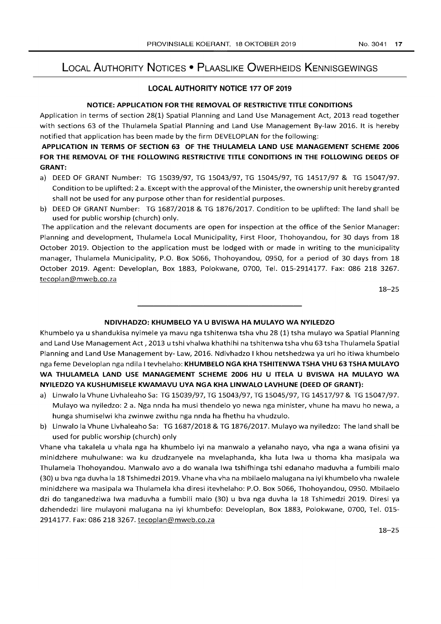# LOCAL AUTHORITY NOTICES • PLAASLIKE OWERHEIDS KENNISGEWINGS

## LOCAL AUTHORITY NOTICE 177 OF 2019

#### NOTICE: APPLICATION FOR THE REMOVAL OF RESTRICTIVE TITLE CONDITIONS

Application in terms of section 28(1) Spatial Planning and Land Use Management Act, 2013 read together with sections 63 of the Thulamela Spatial Planning and Land Use Management By-law 2016. It is hereby notified that application has been made by the firm DEVELOPLAN for the following:

# APPLICATION IN TERMS OF SECTION 63 OF THE THULAMELA LAND USE MANAGEMENT SCHEME 2006 FOR THE REMOVAL OF THE FOLLOWING RESTRICTIVE TITLE CONDITIONS IN THE FOLLOWING DEEDS OF GRANT:

- a) DEED OF GRANT Number: TG 15039/97, TG 15043/97, TG 15045/97, TG 14517/97 & TG 15047/97. Condition to be uplifted: 2 a. Except with the approval of the Minister, the ownership unit hereby granted shall not be used for any purpose other than for residential purposes.
- b) DEED OF GRANT Number: TG 1687/2018 & TG 1876/2017. Condition to be uplifted: The land shall be used for public worship (church) only.

The application and the relevant documents are open for inspection at the office of the Senior Manager: Planning and development, Thulamela Local Municipality, First Floor, Thohoyandou, for 30 days from 18 October 2019. Objection to the application must be lodged with or made in writing to the municipality manager, Thulamela Municipality, P.O. Box 5066, Thohoyandou, 0950, for a period of 30 days from 18 October 2019. Agent: Developlan, Box 1883, Polokwane, 0700, Tel. 015-2914177. Fax: 086 218 3267. tecoplan@mweb.co.za

18-25

#### NDIVHADZO: KHUMBELO VA U BVISWA HA MULAVO WA NVILEDZO

Khumbelo ya u shandukisa nyimele ya mavu nga tshitenwa tsha vhu 28 (1) tsha mulayo wa Spatial Planning and Land Use Management Act, 2013 u tshi vhalwa khathihi na tshitenwa tsha vhu 63 tsha Thulamela Spatial Planning and Land Use Management by- Law, 2016. Ndivhadzo I khou netshedzwa ya uri ho itiwa khumbelo nga feme Developlan nga ndila I tevhelaho: KHUMBELO NGA KHA TSHITENWA TSHA VHU 63 TSHA MULAVO WA THULAMELA LAND USE MANAGEMENT SCHEME 2006 HU U ITELA U BVISWA HA MULAVO WA NVILEDZO VA KUSHUMISELE KWAMAVU UVA NGA KHA LlNWALO LAVHUNE (DEED OF GRANT):

- a) Linwalo la Vhune Livhaleaho Sa: TG 15039/97, TG 15043/97, TG 15045/97, TG 14517/97 & TG 15047/97. Mulayo wa nyiledzo: 2 a. Nga nnda ha musi thendelo yo newa nga minister, vhune ha mavu ho newa, a hunga shumiselwi kha zwinwe zwithu nga nnda ha fhethu ha vhudzulo.
- b) Linwalo la Vhune Livhaleaho Sa: TG 1687/2018 & TG 1876/2017. Mulayo wa nyiledzo: The land shall be used for public worship (church) only

Vhane vha taka lela u vhala nga ha khumbelo iyi na manwalo a yelanaho nayo, vha nga a wana ofisini ya minidzhere muhulwane: wa ku dzudzanyele na mvelaphanda, kha luta Iwa u thoma kha masipala wa Thulamela Thohoyandou. Manwalo avo a do wanala Iwa tshifhinga tshi edanaho maduvha a fumbili malo (30) u bva nga duvha la 18 Tshimedzi 2019. Vhane vha vha na mbilaelo malugana na iyi khumbelo vha nwalele minidzhere wa masipala wa Thulamela kha diresi itevhelaho: P.O. Box 5066, Thohoyandou, 0950. Mbilaelo dzi do tanganedziwa Iwa maduvha a fumbili malo (30) u bva nga duvha la 18 Tshimedzi 2019. Diresi ya dzhendedzi lire mulayoni malugana na iyi khumbefo: Developlan, Box 1883, Polokwane, 0700, Tel. 015- 2914177. Fax: 086 218 3267. tecoplan@mweb.co.za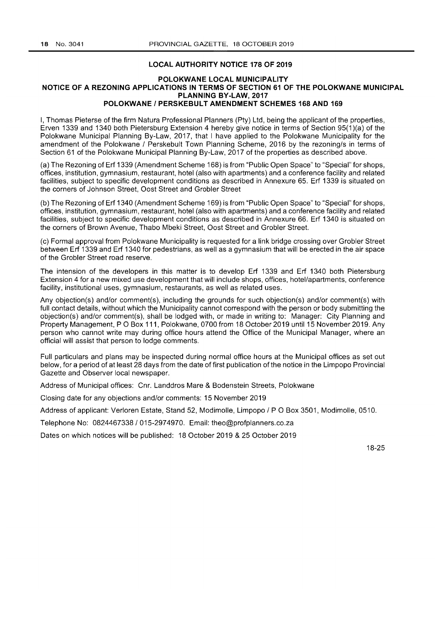#### LOCAL AUTHORITY NOTICE 178 OF 2019

#### POLOKWANE LOCAL MUNICIPALITY NOTICE OF A REZONING APPLICATIONS IN TERMS OF SECTION 61 OF THE POLOKWANE MUNICIPAL PLANNING BY-LAW, 2017 POLOKWANE / PERSKEBULT AMENDMENT SCHEMES 168 AND 169

I, Thomas Pieterse of the firm Natura Professional Planners (Pty) Ltd, being the applicant of the properties, Erven 1339 and 1340 both Pietersburg Extension 4 hereby give notice in terms of Section 95(1 )(a) of the Polokwane Municipal Planning By-Law, 2017, that I have applied to the Polokwane Municipality for the amendment of the Polokwane / Perskebult Town Planning Scheme, 2016 by the rezoning/s in terms of Section 61 of the Polokwane Municipal Planning By-Law, 2017 of the properties as described above.

(a) The Rezoning of Erf 1339 (Amendment Scheme 168) is from "Public Open Space" to "Special" for shops, offices, institution, gymnasium, restaurant, hotel (also with apartments) and a conference facility and related facilities, subject to specific development conditions as described in Annexure 65. Erf 1339 is situated on the corners of Johnson Street, Oost Street and Grobler Street

(b) The Rezoning of Erf 1340 (Amendment Scheme 169) is from "Public Open Space" to "Special" for shops, offices, institution, gymnasium, restaurant, hotel (also with apartments) and a conference facility and related facilities, subject to specific development conditions as described in Annexure 66. Erf 1340 is situated on the corners of Brown Avenue, Thabo Mbeki Street, Oost Street and Grobler Street.

(c) Formal approval from Polokwane Municipality is requested for a link bridge crossing over Grobler Street between Erf 1339 and Erf 1340 for pedestrians, as well as a gymnasium that will be erected in the air space of the Grobler Street road reserve.

The intension of the developers in this matter is to develop Erf 1339 and Erf 1340 both Pietersburg Extension 4 for a new mixed use development that will include shops, offices, hotel/apartments, conference facility, institutional uses, gymnasium, restaurants, as well as related uses.

Any objection(s) and/or comment(s), including the grounds for such objection(s) and/or comment(s) with full contact details, without which the Municipality cannot correspond with the person or body submitting the objection(s) and/or comment(s), shall be lodged with, or made in writing to: Manager: City Planning and Property Management, POBox 111, Polokwane, 0700 from 18 October 2019 until 15 November 2019. Any person who cannot write may during office hours attend the Office of the Municipal Manager, where an official will assist that person to lodge comments.

Full particulars and plans may be inspected during normal office hours at the Municipal offices as set out below, for a period of at least 28 days from the date of first publication of the notice in the Limpopo Provincial Gazette and Observer local newspaper.

Address of Municipal offices: Cnr. Landdros Mare & Bodenstein Streets, Polokwane

Closing date for any objections and/or comments: 15 November 2019

Address of applicant: Verloren Estate, Stand 52, Modimolle, Limpopo / POBox 3501, Modimolle, 0510.

Telephone No: 0824467338/015-2974970. Email: theo@profplanners.co.za

Dates on which notices will be published: 18 October 2019 & 25 October 2019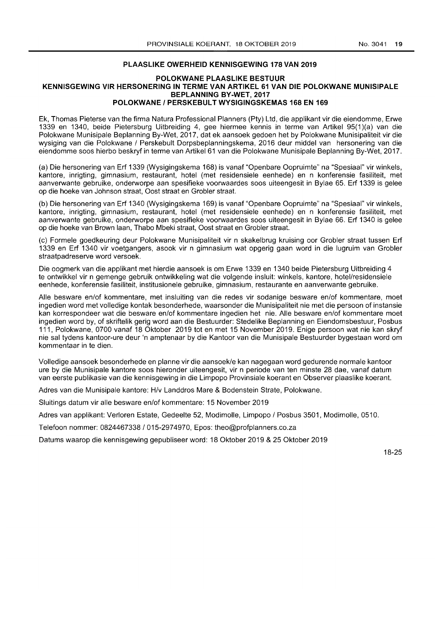#### PLAASLIKE OWERHEID KENNISGEWING 178 VAN 2019

#### POLOKWANE PLAASLIKE BESTUUR KENNISGEWING VIR HERSONERING IN TERME VAN ARTIKEL 61 VAN DIE POLOKWANE MUNISIPALE BEPLANNING BY-WET, 2017 POLOKWANE / PERSKEBULT WYSIGINGSKEMAS 168 EN 169

Ek, Thomas Pieterse van the firma Natura Professional Planners (Pty) Ltd, die applikant vir die eiendomme, Erwe 1339 en 1340, beide Pietersburg Uitbreiding 4, gee hiermee kennis in terme van Artikel 95(1 )(a) van die Polokwane Munisipale Beplanning By-Wet, 2017, dat ek aansoek gedoen het by Polokwane Munisipaliteit vir die wysiging van die Polokwane / Perskebult Dorpsbeplanningskema, 2016 deur middel van hersonering van die eiendomme soos hierbo beskryf in terme van Artikel 61 van die Polokwane Munisipale Beplanning By-Wet, 2017.

(a) Die hersonering van Erf 1339 (Wysigingskema 168) is vanaf "Openbare Oopruimte" na "Spesiaal" vir winkels, kantore, inrigting, gimnasium, restaurant, hotel (met residensiele eenhede) en n konferensie fasiliteit, met aanverwante gebruike, onderworpe aan spesifieke voorwaardes soos uiteengesit in Bylae 65. Erf 1339 is gelee op die hoeke van Johnson straat, Oost straat en Grobler straat.

(b) Die hersonering van Erf 1340 (Wysigingskema 169) is vanaf "Openbare Oopruimte" na "Spesiaal" vir winkels, kantore, inrigting, gimnasium, restaurant, hotel (met residensiele eenhede) en n konferensie fasiliteit, met aanverwante gebruike, onderworpe aan spesifieke voorwaardes soos uiteengesit in Bylae 66. Erf 1340 is gelee op die hoeke van Brown laan, Thabo Mbeki straat, Oost straat en Grobler straat.

(c) Formele goedkeuring deur Polokwane Munisipaliteit vir n skakelbrug kruising oor Grobler straat tussen Erf 1339 en Erf 1340 vir voetgangers, asook vir n gimnasium wat opgerig gaan word in die lugruim van Grobler straatpadreserve word versoek.

Die oogmerk van die applikant met hierdie aansoek is om Erwe 1339 en 1340 beide Pietersburg Uitbreiding 4 te ontwikkel vir n gemenge gebruik ontwikkeling wat die volgende insluit: winkels, kantore, hotel/residensiele eenhede, konferensie fasiliteit, institusionele gebruike, gimnasium, restaurante en aanverwante gebruike.

Aile besware en/of kommentare, met insluiting van die redes vir sodanige besware en/of kommentare, moet ingedien word met volledige kontak besonderhede, waarsonder die Munisipaliteit nie met die persoon of instansie kan korrespondeer wat die besware en/of kommentare ingedien het nie. Aile besware en/of kommentare moet ingedien word by, of skriftelik gerig word aan die Bestuurder: Stedelike Beplanning en Eiendomsbestuur, Posbus 111, Polokwane, 0700 vanaf 18 Oktober 2019 tot en met 15 November 2019. Enige persoon wat nie kan skryf nie sal tydens kantoor-ure deur 'n amptenaar by die Kantoor van die Munisipale Bestuurder bygestaan word om kommentaar in te dien.

Volledige aansoek besonderhede en planne vir die aansoek/e kan nagegaan word gedurende normale kantoor ure by die Munisipale kantore soos hieronder uiteengesit, vir n periode van ten minste 28 dae, vanaf datum van eerste publikasie van die kennisgewing in die Limpopo Provinsiale koerant en Observer plaaslike koerant.

Adres van die Munisipale kantore: H/v Landdros Mare & Bodenstein Strate, Polokwane.

Sluitings datum vir aile besware en/of kommentare: 15 November 2019

Adres van applikant: Verloren Estate, Gedeelte 52, Modimolle, Limpopo / Posbus 3501, Modimolle, 0510.

Telefoon nommer: 0824467338/015-2974970, Epos: theo@profplanners.co.za

Datums waarop die kennisgewing gepubliseer word: 18 Oktober 2019 & 25 Oktober 2019